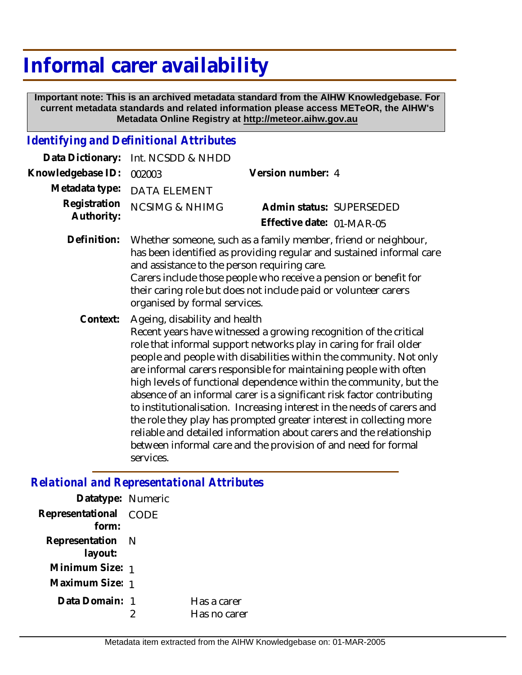## **Informal carer availability**

 **Important note: This is an archived metadata standard from the AIHW Knowledgebase. For current metadata standards and related information please access METeOR, the AIHW's Metadata Online Registry at http://meteor.aihw.gov.au**

## *Identifying and Definitional Attributes*

| Data Dictionary:           | Int. NCSDD & NHDD                                                                                                                                                                                                                                                                                                                                                                                                                                                                                                                                                                                                                                                                                                                                                           |                                                       |  |
|----------------------------|-----------------------------------------------------------------------------------------------------------------------------------------------------------------------------------------------------------------------------------------------------------------------------------------------------------------------------------------------------------------------------------------------------------------------------------------------------------------------------------------------------------------------------------------------------------------------------------------------------------------------------------------------------------------------------------------------------------------------------------------------------------------------------|-------------------------------------------------------|--|
| Knowledgebase ID:          | 002003                                                                                                                                                                                                                                                                                                                                                                                                                                                                                                                                                                                                                                                                                                                                                                      | Version number: 4                                     |  |
| Metadata type:             | <b>DATA ELEMENT</b>                                                                                                                                                                                                                                                                                                                                                                                                                                                                                                                                                                                                                                                                                                                                                         |                                                       |  |
| Registration<br>Authority: | <b>NCSIMG &amp; NHIMG</b>                                                                                                                                                                                                                                                                                                                                                                                                                                                                                                                                                                                                                                                                                                                                                   | Admin status: SUPERSEDED<br>Effective date: 01-MAR-05 |  |
| Definition:                | Whether someone, such as a family member, friend or neighbour,<br>has been identified as providing regular and sustained informal care<br>and assistance to the person requiring care.<br>Carers include those people who receive a pension or benefit for<br>their caring role but does not include paid or volunteer carers<br>organised by formal services.                                                                                                                                                                                                                                                                                                                                                                                                              |                                                       |  |
| Context:                   | Ageing, disability and health<br>Recent years have witnessed a growing recognition of the critical<br>role that informal support networks play in caring for frail older<br>people and people with disabilities within the community. Not only<br>are informal carers responsible for maintaining people with often<br>high levels of functional dependence within the community, but the<br>absence of an informal carer is a significant risk factor contributing<br>to institutionalisation. Increasing interest in the needs of carers and<br>the role they play has prompted greater interest in collecting more<br>reliable and detailed information about carers and the relationship<br>between informal care and the provision of and need for formal<br>services. |                                                       |  |

## *Relational and Representational Attributes*

| Datatype: Numeric              |                             |
|--------------------------------|-----------------------------|
| Representational CODE<br>form: |                             |
| Representation N<br>layout:    |                             |
| Minimum Size: 1                |                             |
| Maximum Size: 1                |                             |
| Data Domain: 1                 | Has a carer<br>Has no carer |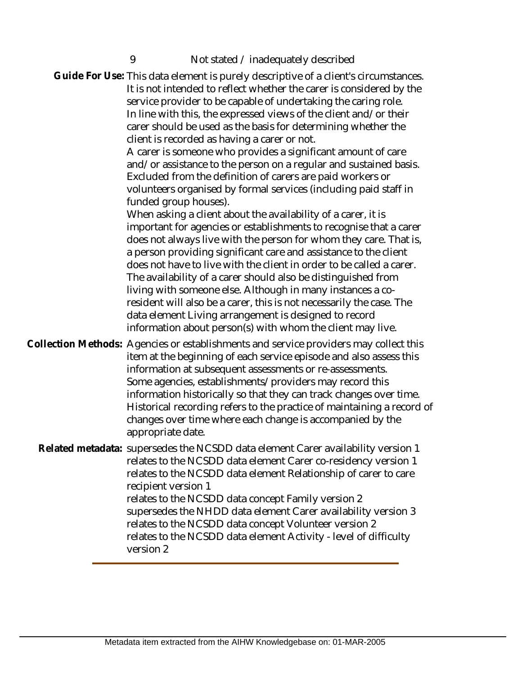9 Not stated / inadequately described

Guide For Use: This data element is purely descriptive of a client's circumstances. It is not intended to reflect whether the carer is considered by the service provider to be capable of undertaking the caring role. In line with this, the expressed views of the client and/or their carer should be used as the basis for determining whether the client is recorded as having a carer or not. A carer is someone who provides a significant amount of care and/or assistance to the person on a regular and sustained basis. Excluded from the definition of carers are paid workers or volunteers organised by formal services (including paid staff in funded group houses). When asking a client about the availability of a carer, it is important for agencies or establishments to recognise that a carer does not always live with the person for whom they care. That is, a person providing significant care and assistance to the client does not have to live with the client in order to be called a carer. The availability of a carer should also be distinguished from living with someone else. Although in many instances a coresident will also be a carer, this is not necessarily the case. The data element Living arrangement is designed to record information about person(s) with whom the client may live. Collection Methods: Agencies or establishments and service providers may collect this item at the beginning of each service episode and also assess this information at subsequent assessments or re-assessments. Some agencies, establishments/providers may record this information historically so that they can track changes over time. Historical recording refers to the practice of maintaining a record of changes over time where each change is accompanied by the appropriate date. Related metadata: supersedes the NCSDD data element Carer availability version 1 relates to the NCSDD data element Carer co-residency version 1 relates to the NCSDD data element Relationship of carer to care recipient version 1 relates to the NCSDD data concept Family version 2 supersedes the NHDD data element Carer availability version 3 relates to the NCSDD data concept Volunteer version 2 relates to the NCSDD data element Activity - level of difficulty version 2